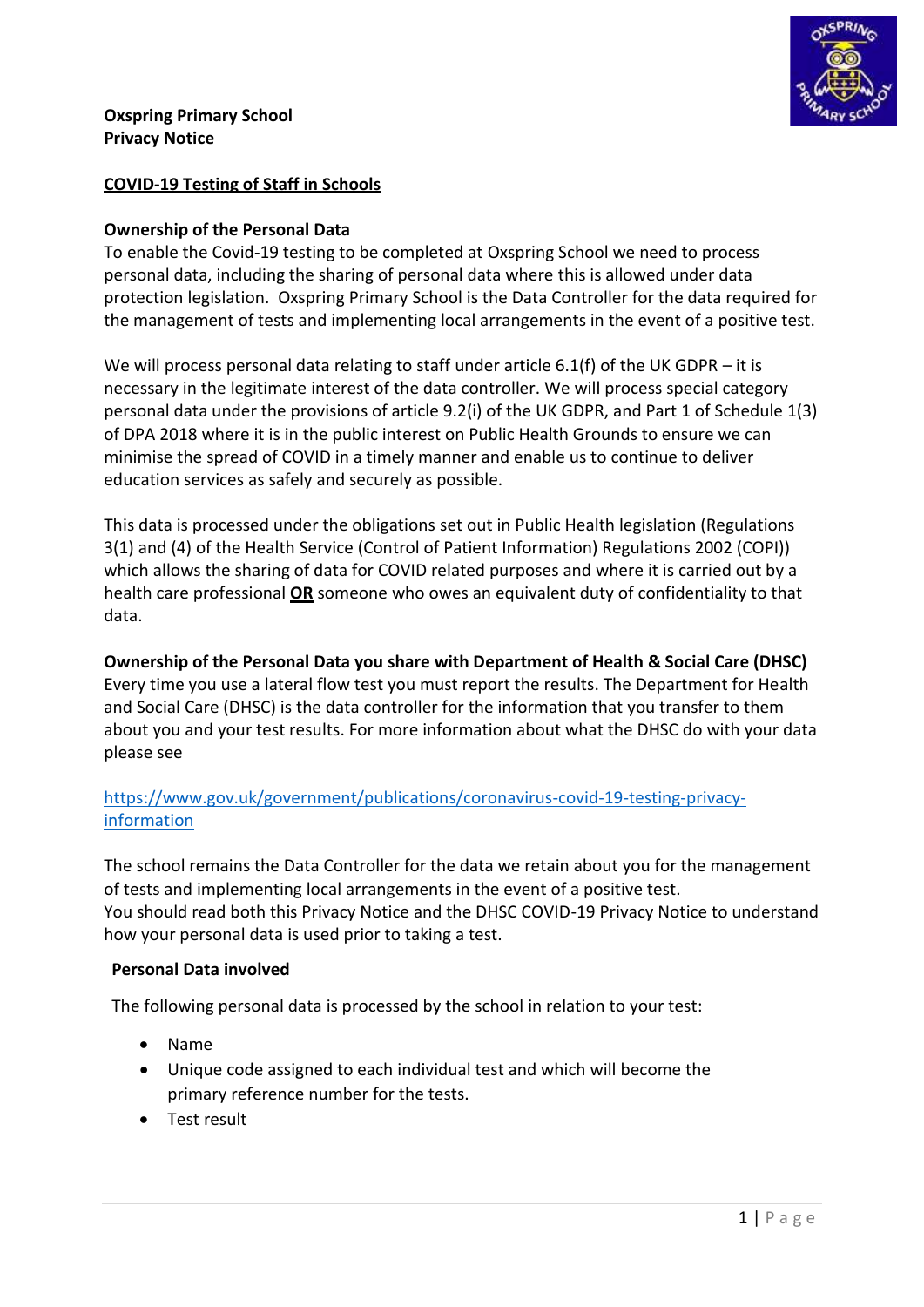

### **Oxspring Primary School Privacy Notice**

# **COVID-19 Testing of Staff in Schools**

## **Ownership of the Personal Data**

To enable the Covid-19 testing to be completed at Oxspring School we need to process personal data, including the sharing of personal data where this is allowed under data protection legislation. Oxspring Primary School is the Data Controller for the data required for the management of tests and implementing local arrangements in the event of a positive test.

We will process personal data relating to staff under article 6.1(f) of the UK GDPR – it is necessary in the legitimate interest of the data controller. We will process special category personal data under the provisions of article 9.2(i) of the UK GDPR, and Part 1 of Schedule 1(3) of DPA 2018 where it is in the public interest on Public Health Grounds to ensure we can minimise the spread of COVID in a timely manner and enable us to continue to deliver education services as safely and securely as possible.

This data is processed under the obligations set out in Public Health legislation (Regulations 3(1) and (4) of the Health Service (Control of Patient Information) Regulations 2002 (COPI)) which allows the sharing of data for COVID related purposes and where it is carried out by a health care professional **OR** someone who owes an equivalent duty of confidentiality to that data.

# **Ownership of the Personal Data you share with Department of Health & Social Care (DHSC)**

Every time you use a lateral flow test you must report the results. The Department for Health and Social Care (DHSC) is the data controller for the information that you transfer to them about you and your test results. For more information about what the DHSC do with your data please see

# [https://www.gov.uk/government/publications/coronavirus-covid-19-testing-privacy](https://www.gov.uk/government/publications/coronavirus-covid-19-testing-privacy-information)[information](https://www.gov.uk/government/publications/coronavirus-covid-19-testing-privacy-information)

The school remains the Data Controller for the data we retain about you for the management of tests and implementing local arrangements in the event of a positive test. You should read both this Privacy Notice and the DHSC COVID-19 Privacy Notice to understand how your personal data is used prior to taking a test.

#### **Personal Data involved**

The following personal data is processed by the school in relation to your test:

- Name
- Unique code assigned to each individual test and which will become the primary reference number for the tests.
- Test result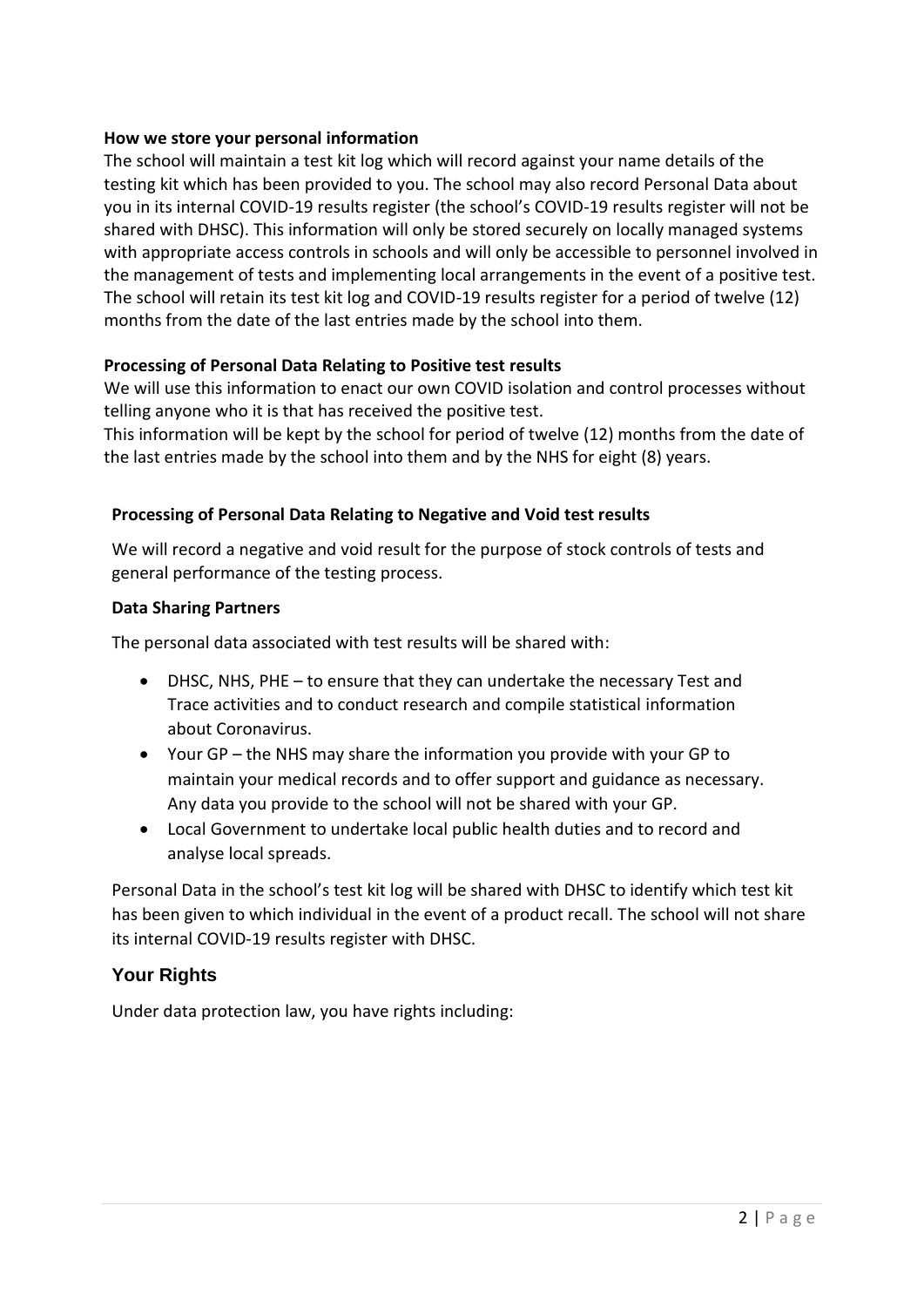## **How we store your personal information**

The school will maintain a test kit log which will record against your name details of the testing kit which has been provided to you. The school may also record Personal Data about you in its internal COVID-19 results register (the school's COVID-19 results register will not be shared with DHSC). This information will only be stored securely on locally managed systems with appropriate access controls in schools and will only be accessible to personnel involved in the management of tests and implementing local arrangements in the event of a positive test. The school will retain its test kit log and COVID-19 results register for a period of twelve (12) months from the date of the last entries made by the school into them.

## **Processing of Personal Data Relating to Positive test results**

We will use this information to enact our own COVID isolation and control processes without telling anyone who it is that has received the positive test.

This information will be kept by the school for period of twelve (12) months from the date of the last entries made by the school into them and by the NHS for eight (8) years.

### **Processing of Personal Data Relating to Negative and Void test results**

We will record a negative and void result for the purpose of stock controls of tests and general performance of the testing process.

#### **Data Sharing Partners**

The personal data associated with test results will be shared with:

- DHSC, NHS, PHE to ensure that they can undertake the necessary Test and Trace activities and to conduct research and compile statistical information about Coronavirus.
- Your GP the NHS may share the information you provide with your GP to maintain your medical records and to offer support and guidance as necessary. Any data you provide to the school will not be shared with your GP.
- Local Government to undertake local public health duties and to record and analyse local spreads.

Personal Data in the school's test kit log will be shared with DHSC to identify which test kit has been given to which individual in the event of a product recall. The school will not share its internal COVID-19 results register with DHSC.

## **Your Rights**

Under data protection law, you have rights including: